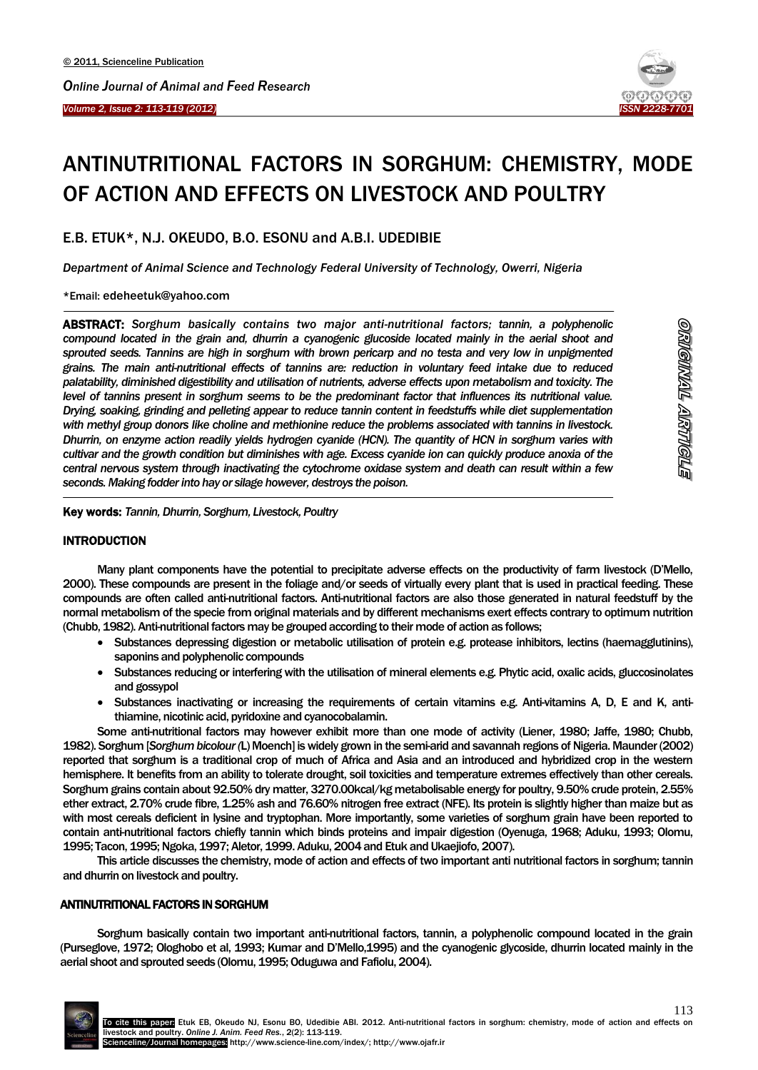



# ANTINUTRITIONAL FACTORS IN SORGHUM: CHEMISTRY, MODE OF ACTION AND EFFECTS ON LIVESTOCK AND POULTRY

E.B. ETUK\*, N.J. OKEUDO, B.O. ESONU and A.B.I. UDEDIBIE

*Department of Animal Science and Technology Federal University of Technology, Owerri, Nigeria*

\*Email: edeheetuk@yahoo.com

 $\overline{\phantom{a}}$ 

-

ABSTRACT: *Sorghum basically contains two major anti-nutritional factors; tannin, a polyphenolic compound located in the grain and, dhurrin a cyanogenic glucoside located mainly in the aerial shoot and sprouted seeds. Tannins are high in sorghum with brown pericarp and no testa and very low in unpigmented grains. The main anti-nutritional effects of tannins are: reduction in voluntary feed intake due to reduced palatability, diminished digestibility and utilisation of nutrients, adverse effects upon metabolism and toxicity. The level of tannins present in sorghum seems to be the predominant factor that influences its nutritional value. Drying, soaking, grinding and pelleting appear to reduce tannin content in feedstuffs while diet supplementation with methyl group donors like choline and methionine reduce the problems associated with tannins in livestock. Dhurrin, on enzyme action readily yields hydrogen cyanide (HCN). The quantity of HCN in sorghum varies with cultivar and the growth condition but diminishes with age. Excess cyanide ion can quickly produce anoxia of the central nervous system through inactivating the cytochrome oxidase system and death can result within a few seconds. Making fodder into hay or silage however, destroys the poison.*

Key words: *Tannin, Dhurrin, Sorghum, Livestock, Poultry*

# **INTRODUCTION**

Many plant components have the potential to precipitate adverse effects on the productivity of farm livestock (D'Mello, 2000). These compounds are present in the foliage and/or seeds of virtually every plant that is used in practical feeding. These compounds are often called anti-nutritional factors. Anti-nutritional factors are also those generated in natural feedstuff by the normal metabolism of the specie from original materials and by different mechanisms exert effects contrary to optimum nutrition (Chubb, 1982). Anti-nutritional factors may be grouped according to their mode of action as follows;

- Substances depressing digestion or metabolic utilisation of protein e.g. protease inhibitors, lectins (haemagglutinins), saponins and polyphenolic compounds
- Substances reducing or interfering with the utilisation of mineral elements e.g. Phytic acid, oxalic acids, gluccosinolates and gossypol
- Substances inactivating or increasing the requirements of certain vitamins e.g. Anti-vitamins A, D, E and K, antithiamine, nicotinic acid, pyridoxine and cyanocobalamin.

Some anti-nutritional factors may however exhibit more than one mode of activity (Liener, 1980; Jaffe, 1980; Chubb, 1982). Sorghum [*Sorghum bicolour (*L) Moench] is widely grown in the semi-arid and savannah regions of Nigeria. Maunder (2002) reported that sorghum is a traditional crop of much of Africa and Asia and an introduced and hybridized crop in the western hemisphere. It benefits from an ability to tolerate drought, soil toxicities and temperature extremes effectively than other cereals. Sorghum grains contain about 92.50% dry matter, 3270.00kcal/kg metabolisable energy for poultry, 9.50% crude protein, 2.55% ether extract, 2.70% crude fibre, 1.25% ash and 76.60% nitrogen free extract (NFE). Its protein is slightly higher than maize but as with most cereals deficient in lysine and tryptophan. More importantly, some varieties of sorghum grain have been reported to contain anti-nutritional factors chiefly tannin which binds proteins and impair digestion (Oyenuga, 1968; Aduku, 1993; Olomu, 1995; Tacon, 1995; Ngoka, 1997; Aletor, 1999. Aduku, 2004 and Etuk and Ukaejiofo, 2007).

This article discusses the chemistry, mode of action and effects of two important anti nutritional factors in sorghum; tannin and dhurrin on livestock and poultry.

# ANTINUTRITIONAL FACTORS IN SORGHUM

Sorghum basically contain two important anti-nutritional factors, tannin, a polyphenolic compound located in the grain (Purseglove, 1972; Ologhobo et al, 1993; Kumar and D'Mello,1995) and the cyanogenic glycoside, dhurrin located mainly in the aerial shoot and sprouted seeds (Olomu, 1995; Oduguwa and Fafiolu, 2004).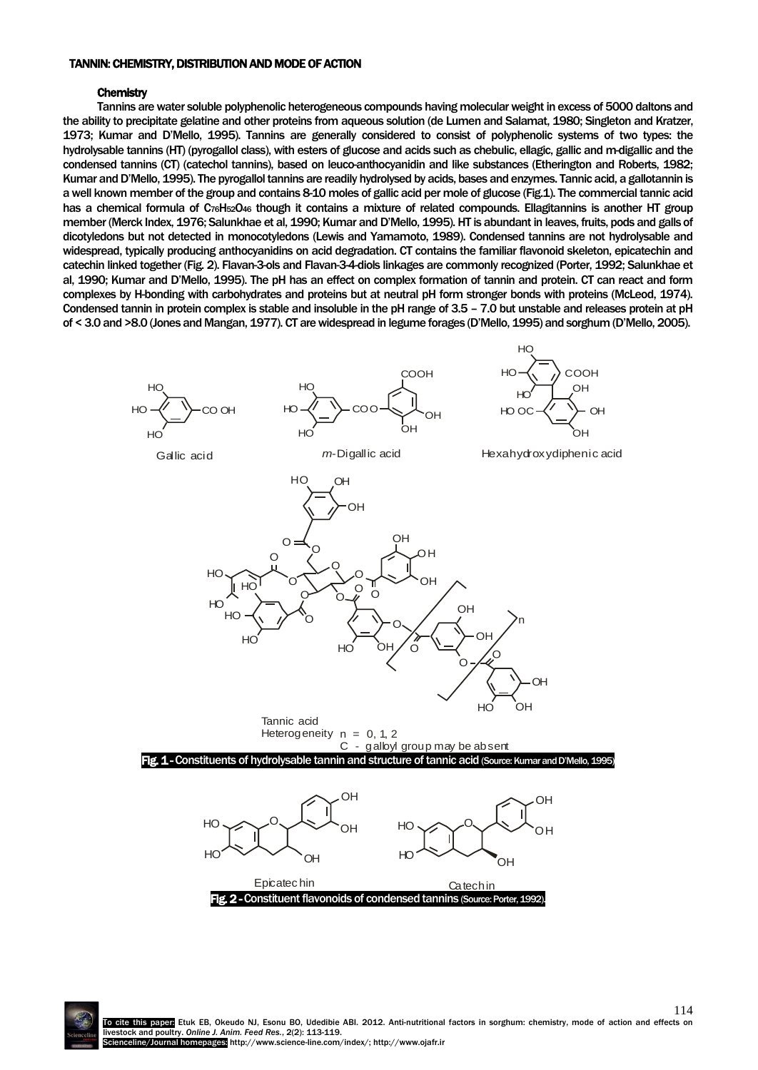#### TANNIN: CHEMISTRY, DISTRIBUTION AND MODE OF ACTION

#### **Chemistry**

Tannins are water soluble polyphenolic heterogeneous compounds having molecular weight in excess of 5000 daltons and the ability to precipitate gelatine and other proteins from aqueous solution (de Lumen and Salamat, 1980; Singleton and Kratzer, 1973; Kumar and D'Mello, 1995). Tannins are generally considered to consist of polyphenolic systems of two types: the hydrolysable tannins (HT) (pyrogallol class), with esters of glucose and acids such as chebulic, ellagic, gallic and m-digallic and the condensed tannins (CT) (catechol tannins), based on leuco-anthocyanidin and like substances (Etherington and Roberts, 1982; Kumar and D'Mello, 1995). The pyrogallol tannins are readily hydrolysed by acids, bases and enzymes. Tannic acid, a gallotannin is a well known member of the group and contains 8-10 moles of gallic acid per mole of glucose (Fig.1). The commercial tannic acid has a chemical formula of C<sub>76</sub>H<sub>52</sub>O<sub>46</sub> though it contains a mixture of related compounds. Ellagitannins is another HT group member (Merck Index, 1976; Salunkhae et al, 1990; Kumar and D'Mello, 1995). HT is abundant in leaves, fruits, pods and galls of dicotyledons but not detected in monocotyledons (Lewis and Yamamoto, 1989). Condensed tannins are not hydrolysable and widespread, typically producing anthocyanidins on acid degradation. CT contains the familiar flavonoid skeleton, epicatechin and catechin linked together (Fig. 2). Flavan-3-ols and Flavan-3-4-diols linkages are commonly recognized (Porter, 1992; Salunkhae et al, 1990; Kumar and D'Mello, 1995). The pH has an effect on complex formation of tannin and protein. CT can react and form complexes by H-bonding with carbohydrates and proteins but at neutral pH form stronger bonds with proteins (McLeod, 1974). Condensed tannin in protein complex is stable and insoluble in the pH range of 3.5 – 7.0 but unstable and releases protein at pH of < 3.0 and >8.0 (Jones and Mangan, 1977). CT are widespread in legume forages (D'Mello, 1995) and sorghum (D'Mello, 2005).



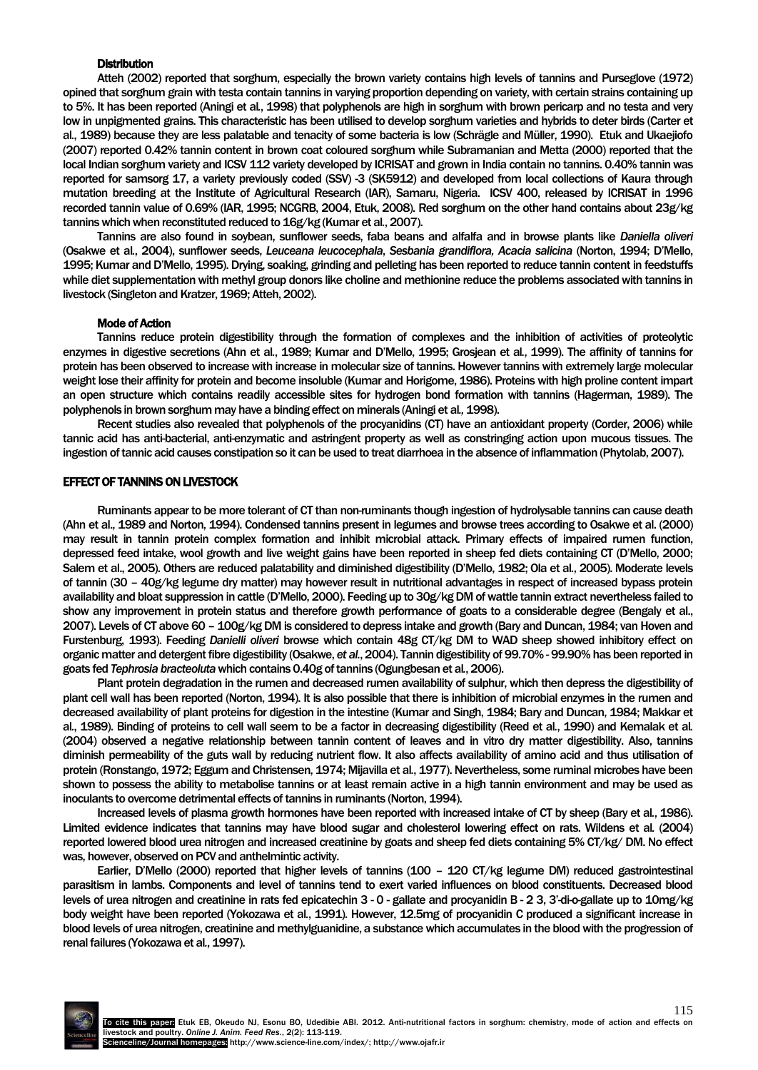### **Distribution**

Atteh (2002) reported that sorghum, especially the brown variety contains high levels of tannins and Purseglove (1972) opined that sorghum grain with testa contain tannins in varying proportion depending on variety, with certain strains containing up to 5%. It has been reported (Aningi et al*.*, 1998) that polyphenols are high in sorghum with brown pericarp and no testa and very low in unpigmented grains. This characteristic has been utilised to develop sorghum varieties and hybrids to deter birds (Carter et al*.*, 1989) because they are less palatable and tenacity of some bacteria is low (Schrägle and Müller, 1990). Etuk and Ukaejiofo (2007) reported 0.42% tannin content in brown coat coloured sorghum while Subramanian and Metta (2000) reported that the local Indian sorghum variety and ICSV 112 variety developed by ICRISAT and grown in India contain no tannins. 0.40% tannin was reported for samsorg 17, a variety previously coded (SSV) -3 (SK5912) and developed from local collections of Kaura through mutation breeding at the Institute of Agricultural Research (IAR), Samaru, Nigeria. ICSV 400, released by ICRISAT in 1996 recorded tannin value of 0.69% (IAR, 1995; NCGRB, 2004, Etuk, 2008). Red sorghum on the other hand contains about 23g/kg tannins which when reconstituted reduced to 16g/kg (Kumar et al*.*, 2007).

Tannins are also found in soybean, sunflower seeds, faba beans and alfalfa and in browse plants like *Daniella oliveri*  (Osakwe et al*.*, 2004), sunflower seeds, *Leuceana leucocephala*, *Sesbania grandiflora, Acacia salicina* (Norton, 1994; D'Mello, 1995; Kumar and D'Mello, 1995). Drying, soaking, grinding and pelleting has been reported to reduce tannin content in feedstuffs while diet supplementation with methyl group donors like choline and methionine reduce the problems associated with tannins in livestock (Singleton and Kratzer,1969; Atteh, 2002).

#### Mode of Action

Tannins reduce protein digestibility through the formation of complexes and the inhibition of activities of proteolytic enzymes in digestive secretions (Ahn et al*.*, 1989; Kumar and D'Mello, 1995; Grosjean et al*.*, 1999). The affinity of tannins for protein has been observed to increase with increase in molecular size of tannins. However tannins with extremely large molecular weight lose their affinity for protein and become insoluble (Kumar and Horigome, 1986). Proteins with high proline content impart an open structure which contains readily accessible sites for hydrogen bond formation with tannins (Hagerman, 1989). The polyphenols in brown sorghum may have a binding effect on minerals (Aningi et al*.,*1998).

Recent studies also revealed that polyphenols of the procyanidins (CT) have an antioxidant property (Corder, 2006) while tannic acid has anti-bacterial, anti-enzymatic and astringent property as well as constringing action upon mucous tissues. The ingestion of tannic acid causes constipation so it can be used to treat diarrhoea in the absence of inflammation (Phytolab, 2007).

# EFFECT OF TANNINS ON LIVESTOCK

Ruminants appear to be more tolerant of CT than non-ruminants though ingestion of hydrolysable tannins can cause death (Ahn et al., 1989 and Norton, 1994). Condensed tannins present in legumes and browse trees according to Osakwe et al. (2000) may result in tannin protein complex formation and inhibit microbial attack. Primary effects of impaired rumen function, depressed feed intake, wool growth and live weight gains have been reported in sheep fed diets containing CT (D'Mello, 2000; Salem et al., 2005). Others are reduced palatability and diminished digestibility (D'Mello, 1982; Ola et al*.*, 2005). Moderate levels of tannin (30 – 40g/kg legume dry matter) may however result in nutritional advantages in respect of increased bypass protein availability and bloat suppression in cattle (D'Mello, 2000). Feeding up to 30g/kg DM of wattle tannin extract nevertheless failed to show any improvement in protein status and therefore growth performance of goats to a considerable degree (Bengaly et al., 2007). Levels of CT above 60 – 100g/kg DM is considered to depress intake and growth (Bary and Duncan, 1984; van Hoven and Furstenburg, 1993). Feeding *Danielli oliveri* browse which contain 48g CT/kg DM to WAD sheep showed inhibitory effect on organic matter and detergent fibre digestibility (Osakwe, *et al.*, 2004). Tannin digestibility of 99.70% - 99.90% has been reported in goats fed *Tephrosia bracteoluta*which contains 0.40g of tannins (Ogungbesan et al*.*, 2006).

Plant protein degradation in the rumen and decreased rumen availability of sulphur, which then depress the digestibility of plant cell wall has been reported (Norton, 1994). It is also possible that there is inhibition of microbial enzymes in the rumen and decreased availability of plant proteins for digestion in the intestine (Kumar and Singh, 1984; Bary and Duncan, 1984; Makkar et al*.*, 1989). Binding of proteins to cell wall seem to be a factor in decreasing digestibility (Reed et al*.*, 1990) and Kemalak et al*.* (2004) observed a negative relationship between tannin content of leaves and in vitro dry matter digestibility. Also, tannins diminish permeability of the guts wall by reducing nutrient flow. It also affects availability of amino acid and thus utilisation of protein (Ronstango, 1972; Eggum and Christensen, 1974; Mijavilla et al*.*, 1977). Nevertheless, some ruminal microbes have been shown to possess the ability to metabolise tannins or at least remain active in a high tannin environment and may be used as inoculants to overcome detrimental effects of tannins in ruminants (Norton, 1994).

Increased levels of plasma growth hormones have been reported with increased intake of CT by sheep (Bary et al*.*, 1986). Limited evidence indicates that tannins may have blood sugar and cholesterol lowering effect on rats. Wildens et al*.* (2004) reported lowered blood urea nitrogen and increased creatinine by goats and sheep fed diets containing 5% CT/kg/ DM. No effect was, however, observed on PCV and anthelmintic activity.

Earlier, D'Mello (2000) reported that higher levels of tannins (100 – 120 CT/kg legume DM) reduced gastrointestinal parasitism in lambs. Components and level of tannins tend to exert varied influences on blood constituents. Decreased blood levels of urea nitrogen and creatinine in rats fed epicatechin 3 - 0 - gallate and procyanidin B - 2 3, 3'-di-o-gallate up to 10mg/kg body weight have been reported (Yokozawa et al*.*, 1991). However, 12.5mg of procyanidin C produced a significant increase in blood levels of urea nitrogen, creatinine and methylguanidine, a substance which accumulates in the blood with the progression of renal failures (Yokozawa et al*.*, 1997).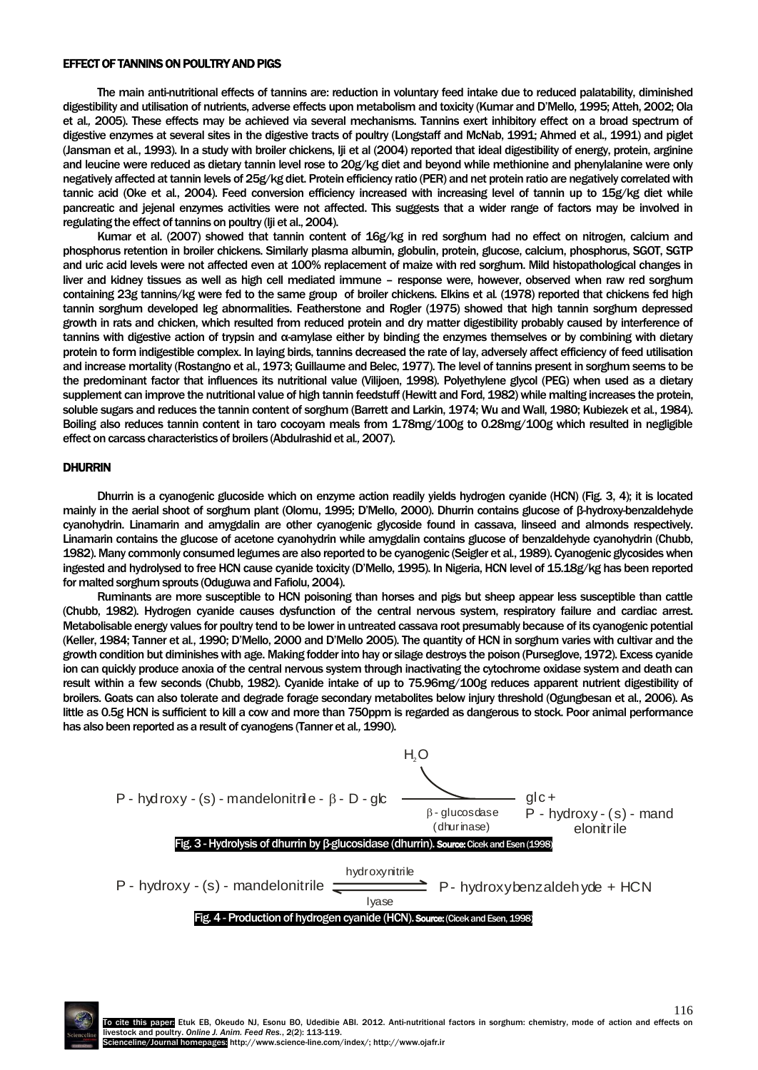#### EFFECT OF TANNINS ON POULTRY AND PIGS

The main anti-nutritional effects of tannins are: reduction in voluntary feed intake due to reduced palatability, diminished digestibility and utilisation of nutrients, adverse effects upon metabolism and toxicity (Kumar and D'Mello, 1995; Atteh, 2002; Ola et al*.,* 2005). These effects may be achieved via several mechanisms. Tannins exert inhibitory effect on a broad spectrum of digestive enzymes at several sites in the digestive tracts of poultry (Longstaff and McNab, 1991; Ahmed et al., 1991) and piglet (Jansman et al*.*, 1993). In a study with broiler chickens, Iji et al (2004) reported that ideal digestibility of energy, protein, arginine and leucine were reduced as dietary tannin level rose to 20g/kg diet and beyond while methionine and phenylalanine were only negatively affected at tannin levels of 25g/kg diet. Protein efficiency ratio (PER) and net protein ratio are negatively correlated with tannic acid (Oke et al*.*, 2004). Feed conversion efficiency increased with increasing level of tannin up to 15g/kg diet while pancreatic and jejenal enzymes activities were not affected. This suggests that a wider range of factors may be involved in regulating the effect of tannins on poultry (Iii et al., 2004).

Kumar et al. (2007) showed that tannin content of 16g/kg in red sorghum had no effect on nitrogen, calcium and phosphorus retention in broiler chickens. Similarly plasma albumin, globulin, protein, glucose, calcium, phosphorus, SGOT, SGTP and uric acid levels were not affected even at 100% replacement of maize with red sorghum. Mild histopathological changes in liver and kidney tissues as well as high cell mediated immune – response were, however, observed when raw red sorghum containing 23g tannins/kg were fed to the same group of broiler chickens. Elkins et al*.* (1978) reported that chickens fed high tannin sorghum developed leg abnormalities. Featherstone and Rogler (1975) showed that high tannin sorghum depressed growth in rats and chicken, which resulted from reduced protein and dry matter digestibility probably caused by interference of tannins with digestive action of trypsin and α-amylase either by binding the enzymes themselves or by combining with dietary protein to form indigestible complex. In laying birds, tannins decreased the rate of lay, adversely affect efficiency of feed utilisation and increase mortality (Rostangno et al*.*, 1973; Guillaume and Belec, 1977). The level of tannins present in sorghum seems to be the predominant factor that influences its nutritional value (Vilijoen, 1998). Polyethylene glycol (PEG) when used as a dietary supplement can improve the nutritional value of high tannin feedstuff (Hewitt and Ford, 1982) while malting increases the protein, soluble sugars and reduces the tannin content of sorghum (Barrett and Larkin, 1974; Wu and Wall, 1980; Kubiezek et al*.*, 1984). Boiling also reduces tannin content in taro cocoyam meals from 1.78mg/100g to 0.28mg/100g which resulted in negligible effect on carcass characteristics of broilers (Abdulrashid et al*.,*2007).

## DHURRIN

Dhurrin is a cyanogenic glucoside which on enzyme action readily yields hydrogen cyanide (HCN) (Fig. 3, 4); it is located mainly in the aerial shoot of sorghum plant (Olomu, 1995; D'Mello, 2000). Dhurrin contains glucose of β-hydroxy-benzaldehyde cyanohydrin. Linamarin and amygdalin are other cyanogenic glycoside found in cassava, linseed and almonds respectively. Linamarin contains the glucose of acetone cyanohydrin while amygdalin contains glucose of benzaldehyde cyanohydrin (Chubb, 1982). Many commonly consumed legumes are also reported to be cyanogenic (Seigler et al*.*, 1989). Cyanogenic glycosides when ingested and hydrolysed to free HCN cause cyanide toxicity (D'Mello, 1995). In Nigeria, HCN level of 15.18g/kg has been reported for malted sorghum sprouts (Oduguwa and Fafiolu, 2004).

Ruminants are more susceptible to HCN poisoning than horses and pigs but sheep appear less susceptible than cattle (Chubb, 1982). Hydrogen cyanide causes dysfunction of the central nervous system, respiratory failure and cardiac arrest. Metabolisable energy values for poultry tend to be lower in untreated cassava root presumably because of its cyanogenic potential (Keller, 1984; Tanner et al*.*, 1990; D'Mello, 2000 and D'Mello 2005). The quantity of HCN in sorghum varies with cultivar and the growth condition but diminishes with age. Making fodder into hay or silage destroys the poison (Purseglove, 1972). Excess cyanide ion can quickly produce anoxia of the central nervous system through inactivating the cytochrome oxidase system and death can result within a few seconds (Chubb, 1982). Cyanide intake of up to 75.96mg/100g reduces apparent nutrient digestibility of broilers. Goats can also tolerate and degrade forage secondary metabolites below injury threshold (Ogungbesan et al*.*, 2006). As brollers. Goats can also tolerate and degrade forage secondary metabolites below injury threshold (Ugungbesan et al., 2006). As little as 0.5g HCN is sufficient to kill a cow and more than 750ppm is regarded as dangerous has also been reported as a result of cyanogens (Tanner et al*.,*1990).



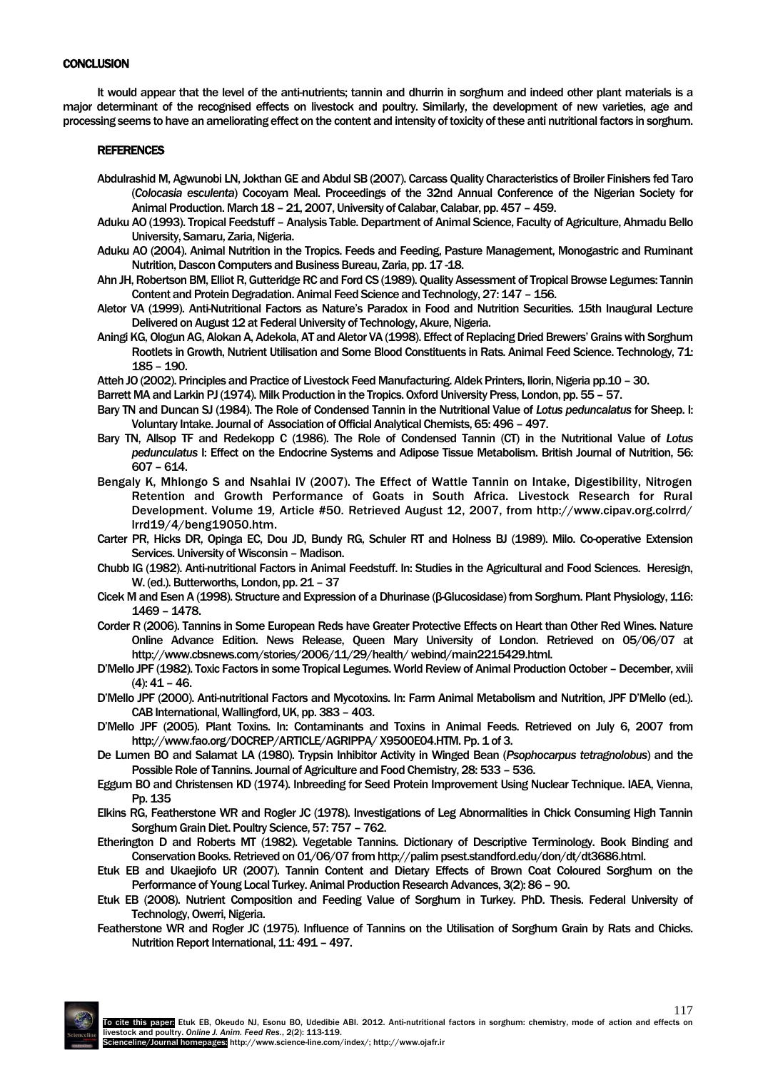# **CONCLUSION**

It would appear that the level of the anti-nutrients; tannin and dhurrin in sorghum and indeed other plant materials is a major determinant of the recognised effects on livestock and poultry. Similarly, the development of new varieties, age and processing seems to have an ameliorating effect on the content and intensity of toxicity of these anti nutritional factors in sorghum.

# **REFERENCES**

- Abdulrashid M, Agwunobi LN, Jokthan GE and Abdul SB (2007). Carcass Quality Characteristics of Broiler Finishers fed Taro (*Colocasia esculenta*) Cocoyam Meal. Proceedings of the 32nd Annual Conference of the Nigerian Society for Animal Production. March 18 – 21, 2007, University of Calabar, Calabar, pp. 457 – 459.
- Aduku AO (1993). Tropical Feedstuff Analysis Table. Department of Animal Science, Faculty of Agriculture, Ahmadu Bello University, Samaru, Zaria, Nigeria.
- Aduku AO (2004). Animal Nutrition in the Tropics. Feeds and Feeding, Pasture Management, Monogastric and Ruminant Nutrition, Dascon Computers and Business Bureau, Zaria, pp. 17 -18.
- Ahn JH, Robertson BM, Elliot R, Gutteridge RC and Ford CS (1989). Quality Assessment of Tropical Browse Legumes: Tannin Content and Protein Degradation. Animal Feed Science and Technology, 27: 147 – 156.
- Aletor VA (1999). Anti-Nutritional Factors as Nature's Paradox in Food and Nutrition Securities. 15th Inaugural Lecture Delivered on August 12 at Federal University of Technology, Akure, Nigeria.
- Aningi KG, Ologun AG, Alokan A, Adekola, AT and Aletor VA (1998). Effect of Replacing Dried Brewers' Grains with Sorghum Rootlets in Growth, Nutrient Utilisation and Some Blood Constituents in Rats. Animal Feed Science. Technology, 71: 185 – 190.
- Atteh JO (2002). Principles and Practice of Livestock Feed Manufacturing. Aldek Printers, Ilorin, Nigeria pp.10 30.
- Barrett MA and Larkin PJ (1974). Milk Production in the Tropics. Oxford University Press, London, pp. 55 57.
- Bary TN and Duncan SJ (1984). The Role of Condensed Tannin in the Nutritional Value of *Lotus peduncalatus* for Sheep. I: Voluntary Intake. Journal of Association of Official Analytical Chemists, 65: 496 - 497.
- Bary TN, Allsop TF and Redekopp C (1986). The Role of Condensed Tannin (CT) in the Nutritional Value of *Lotus pedunculatus* I: Effect on the Endocrine Systems and Adipose Tissue Metabolism. British Journal of Nutrition, 56: 607 – 614.
- Bengaly K, Mhlongo S and Nsahlai IV (2007). The Effect of Wattle Tannin on Intake, Digestibility, Nitrogen Retention and Growth Performance of Goats in South Africa. Livestock Research for Rural Development. Volume 19*,* Article #50*.* Retrieved August 12, 2007, from http://www.cipav.org.colrrd/ lrrd19/4/beng19050.htm.
- Carter PR, Hicks DR, Opinga EC, Dou JD, Bundy RG, Schuler RT and Holness BJ (1989). Milo. Co-operative Extension Services. University of Wisconsin – Madison.
- Chubb IG (1982). Anti-nutritional Factors in Animal Feedstuff. In: Studies in the Agricultural and Food Sciences. Heresign, W. (ed.). Butterworths, London, pp. 21 – 37
- Cicek M and Esen A (1998). Structure and Expression of a Dhurinase (β-Glucosidase) from Sorghum. Plant Physiology, 116: 1469 – 1478.
- Corder R (2006). Tannins in Some European Reds have Greater Protective Effects on Heart than Other Red Wines. Nature Online Advance Edition. News Release, Queen Mary University of London. Retrieved on 05/06/07 at http://www.cbsnews.com/stories/2006/11/29/health/ webind/main2215429.html.
- D'Mello JPF (1982). Toxic Factors in some Tropical Legumes. World Review of Animal Production October December, xviii (4): 41 – 46.
- D'Mello JPF (2000). Anti-nutritional Factors and Mycotoxins. In: Farm Animal Metabolism and Nutrition, JPF D'Mello (ed.). CAB International, Wallingford, UK, pp. 383 – 403.
- D'Mello JPF (2005). Plant Toxins. In: Contaminants and Toxins in Animal Feeds. Retrieved on July 6, 2007 from http://www.fao.org/DOCREP/ARTICLE/AGRIPPA/ X9500E04.HTM. Pp. 1 of 3.
- De Lumen BO and Salamat LA (1980). Trypsin Inhibitor Activity in Winged Bean (*Psophocarpus tetragnolobus*) and the Possible Role of Tannins. Journal of Agriculture and Food Chemistry, 28: 533 – 536.
- Eggum BO and Christensen KD (1974). Inbreeding for Seed Protein Improvement Using Nuclear Technique. IAEA, Vienna, Pp. 135
- Elkins RG, Featherstone WR and Rogler JC (1978). Investigations of Leg Abnormalities in Chick Consuming High Tannin Sorghum Grain Diet. Poultry Science, 57: 757 – 762.
- Etherington D and Roberts MT (1982). Vegetable Tannins. Dictionary of Descriptive Terminology. Book Binding and Conservation Books. Retrieved on 01/06/07 from http://palim psest.standford.edu/don/dt/dt3686.html.
- Etuk EB and Ukaejiofo UR (2007). Tannin Content and Dietary Effects of Brown Coat Coloured Sorghum on the Performance of Young Local Turkey. Animal Production Research Advances, 3(2): 86 - 90.
- Etuk EB (2008). Nutrient Composition and Feeding Value of Sorghum in Turkey. PhD. Thesis. Federal University of Technology, Owerri, Nigeria.
- Featherstone WR and Rogler JC (1975). Influence of Tannins on the Utilisation of Sorghum Grain by Rats and Chicks. Nutrition Report International, 11: 491 - 497.

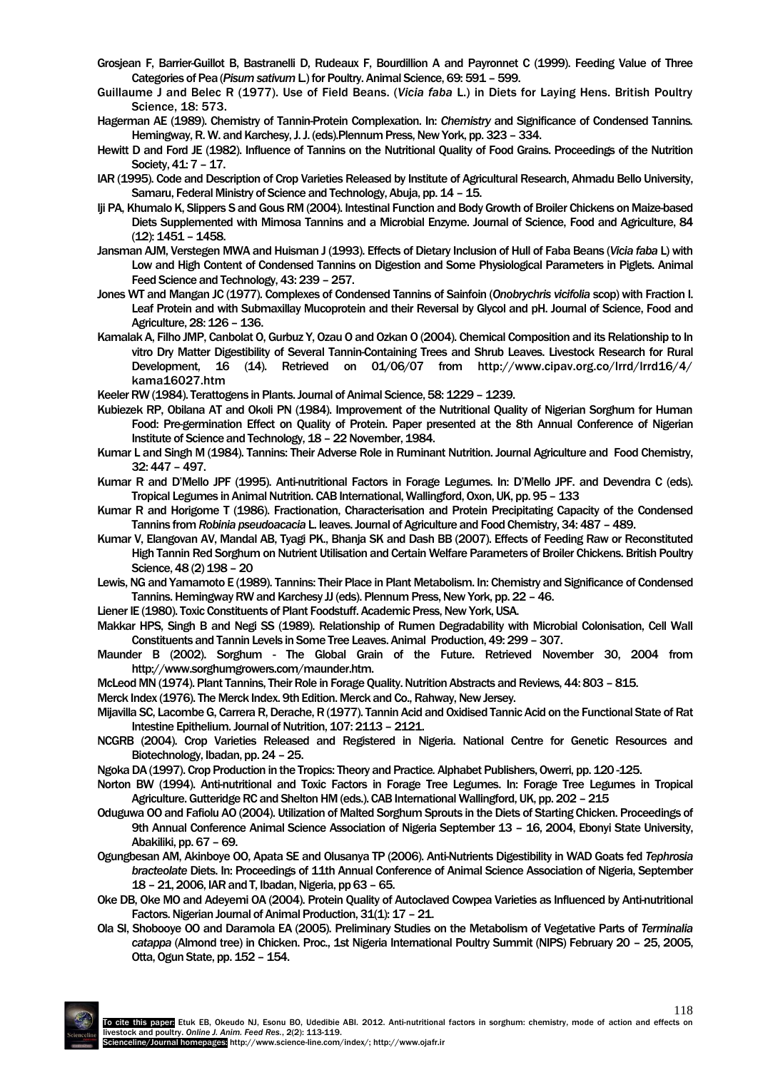- Grosjean F, Barrier-Guillot B, Bastranelli D, Rudeaux F, Bourdillion A and Payronnet C (1999). Feeding Value of Three Categories of Pea (*Pisum sativum* L.) for Poultry. Animal Science, 69: 591 – 599.
- Guillaume J and Belec R (1977). Use of Field Beans. (*Vicia faba* L.) in Diets for Laying Hens. British Poultry Science, 18: 573.
- Hagerman AE (1989). Chemistry of Tannin-Protein Complexation. In: *Chemistry* and Significance of Condensed Tannins*.* Hemingway, R. W. and Karchesy, J. J. (eds).Plennum Press, New York, pp. 323 – 334.
- Hewitt D and Ford JE (1982). Influence of Tannins on the Nutritional Quality of Food Grains. Proceedings of the Nutrition Society, 41: 7 – 17.
- IAR (1995). Code and Description of Crop Varieties Released by Institute of Agricultural Research, Ahmadu Bello University, Samaru, Federal Ministry of Science and Technology, Abuja, pp. 14 – 15.
- Iji PA, Khumalo K, Slippers S and Gous RM (2004). Intestinal Function and Body Growth of Broiler Chickens on Maize-based Diets Supplemented with Mimosa Tannins and a Microbial Enzyme. Journal of Science, Food and Agriculture, 84 (12): 1451 – 1458.
- Jansman AJM, Verstegen MWA and Huisman J (1993). Effects of Dietary Inclusion of Hull of Faba Beans (*Vicia faba* L) with Low and High Content of Condensed Tannins on Digestion and Some Physiological Parameters in Piglets. Animal Feed Science and Technology, 43: 239 – 257.
- Jones WT and Mangan JC (1977). Complexes of Condensed Tannins of Sainfoin (*Onobrychris vicifolia* scop) with Fraction I. Leaf Protein and with Submaxillay Mucoprotein and their Reversal by Glycol and pH. Journal of Science, Food and Agriculture, 28: 126 – 136.
- Kamalak A, Filho JMP, Canbolat O, Gurbuz Y, Ozau O and Ozkan O (2004). Chemical Composition and its Relationship to In vitro Dry Matter Digestibility of Several Tannin-Containing Trees and Shrub Leaves. Livestock Research for Rural Development, 16 (14). Retrieved on 01/06/07 from http://www.cipav.org.co/lrrd/lrrd16/4/ kama16027.htm
- Keeler RW (1984). Terattogens in Plants. Journal of Animal Science, 58: 1229 1239.
- Kubiezek RP, Obilana AT and Okoli PN (1984). Improvement of the Nutritional Quality of Nigerian Sorghum for Human Food: Pre-germination Effect on Quality of Protein. Paper presented at the 8th Annual Conference of Nigerian Institute of Science and Technology, 18 – 22 November, 1984.
- Kumar L and Singh M (1984). Tannins: Their Adverse Role in Ruminant Nutrition. Journal Agriculture and Food Chemistry, 32: 447 – 497.
- Kumar R and D'Mello JPF (1995). Anti-nutritional Factors in Forage Legumes. In: D'Mello JPF. and Devendra C (eds). Tropical Legumes in Animal Nutrition. CAB International, Wallingford, Oxon, UK, pp. 95 – 133
- Kumar R and Horigome T (1986). Fractionation, Characterisation and Protein Precipitating Capacity of the Condensed Tannins from *Robinia pseudoacacia* L. leaves. Journal of Agriculture and Food Chemistry, 34: 487 - 489.
- Kumar V, Elangovan AV, Mandal AB, Tyagi PK., Bhanja SK and Dash BB (2007). Effects of Feeding Raw or Reconstituted High Tannin Red Sorghum on Nutrient Utilisation and Certain Welfare Parameters of Broiler Chickens. British Poultry Science, 48 (2) 198 – 20
- Lewis, NG and Yamamoto E (1989). Tannins: Their Place in Plant Metabolism. In: Chemistry and Significance of Condensed Tannins.Hemingway RW and Karchesy JJ (eds). Plennum Press, New York, pp. 22 – 46.
- Liener IE (1980). Toxic Constituents of Plant Foodstuff. Academic Press, New York, USA.
- Makkar HPS, Singh B and Negi SS (1989). Relationship of Rumen Degradability with Microbial Colonisation, Cell Wall Constituents and Tannin Levels in Some Tree Leaves. Animal Production, 49: 299 – 307.
- Maunder B (2002). Sorghum The Global Grain of the Future. Retrieved November 30, 2004 from http://www.sorghumgrowers.com/maunder.htm.
- McLeod MN (1974). Plant Tannins, Their Role in Forage Quality. Nutrition Abstracts and Reviews, 44: 803 815.

Merck Index (1976). The Merck Index. 9th Edition. Merck and Co., Rahway, New Jersey.

- Mijavilla SC, Lacombe G, Carrera R, Derache, R (1977). Tannin Acid and Oxidised Tannic Acid on the Functional State of Rat Intestine Epithelium. Journal of Nutrition, 107: 2113 - 2121.
- NCGRB (2004). Crop Varieties Released and Registered in Nigeria. National Centre for Genetic Resources and Biotechnology, Ibadan, pp. 24 – 25.
- Ngoka DA (1997). Crop Production in the Tropics: Theory and Practice*.*Alphabet Publishers, Owerri, pp. 120 -125.
- Norton BW (1994). Anti-nutritional and Toxic Factors in Forage Tree Legumes. In: Forage Tree Legumes in Tropical Agriculture. Gutteridge RC and Shelton HM (eds.). CAB International Wallingford, UK, pp. 202 – 215
- Oduguwa OO and Fafiolu AO (2004). Utilization of Malted Sorghum Sprouts in the Diets of Starting Chicken. Proceedings of 9th Annual Conference Animal Science Association of Nigeria September 13 – 16, 2004, Ebonyi State University, Abakiliki, pp. 67 – 69.
- Ogungbesan AM, Akinboye OO, Apata SE and Olusanya TP (2006). Anti-Nutrients Digestibility in WAD Goats fed *Tephrosia bracteolate* Diets. In: Proceedings of 11th Annual Conference of Animal Science Association of Nigeria, September 18 – 21, 2006, IAR and T, Ibadan, Nigeria, pp 63 – 65.
- Oke DB, Oke MO and Adeyemi OA (2004). Protein Quality of Autoclaved Cowpea Varieties as Influenced by Anti-nutritional Factors. Nigerian Journal of Animal Production, 31(1): 17 - 21.
- Ola SI, Shobooye OO and Daramola EA (2005). Preliminary Studies on the Metabolism of Vegetative Parts of *Terminalia catappa* (Almond tree) in Chicken. Proc., 1st Nigeria International Poultry Summit (NIPS) February 20 – 25, 2005, Otta, Ogun State, pp. 152 – 154.